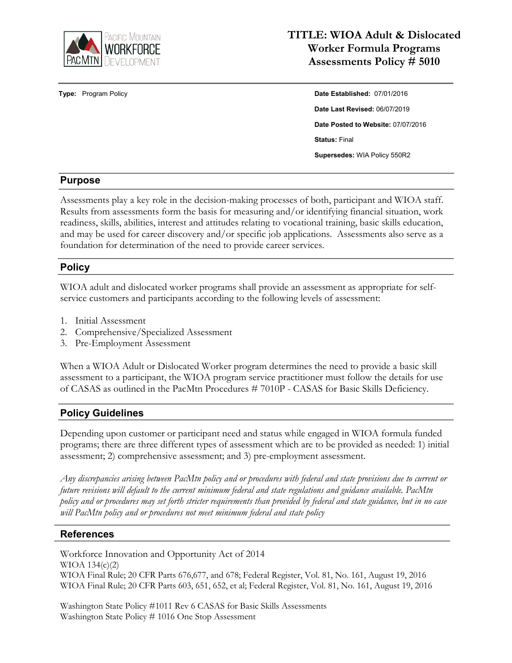

# **TITLE: WIOA Adult & Dislocated Worker Formula Programs Assessments Policy # 5010**

**Type:** Program Policy **Date Established:** 07/01/2016 **Date Last Revised:** 06/07/2019 **Date Posted to Website:** 07/07/2016 **Status:** Final **Supersedes:** WIA Policy 550R2

### **Purpose**

Assessments play a key role in the decision-making processes of both, participant and WIOA staff. Results from assessments form the basis for measuring and/or identifying financial situation, work readiness, skills, abilities, interest and attitudes relating to vocational training, basic skills education, and may be used for career discovery and/or specific job applications. Assessments also serve as a foundation for determination of the need to provide career services.

### **Policy**

WIOA adult and dislocated worker programs shall provide an assessment as appropriate for selfservice customers and participants according to the following levels of assessment:

- 1. Initial Assessment
- 2. Comprehensive/Specialized Assessment
- 3. Pre-Employment Assessment

When a WIOA Adult or Dislocated Worker program determines the need to provide a basic skill assessment to a participant, the WIOA program service practitioner must follow the details for use of CASAS as outlined in the PacMtn Procedures # 7010P - CASAS for Basic Skills Deficiency.

### **Policy Guidelines**

Depending upon customer or participant need and status while engaged in WIOA formula funded programs; there are three different types of assessment which are to be provided as needed: 1) initial assessment; 2) comprehensive assessment; and 3) pre-employment assessment.

*Any discrepancies arising between PacMtn policy and or procedures with federal and state provisions due to current or future revisions will default to the current minimum federal and state regulations and guidance available. PacMtn policy and or procedures may set forth stricter requirements than provided by federal and state guidance, but in no case will PacMtn policy and or procedures not meet minimum federal and state policy*

### **References**

Workforce Innovation and Opportunity Act of 2014 WIOA 134(c)(2) WIOA Final Rule; 20 CFR Parts 676,677, and 678; Federal Register, Vol. 81, No. 161, August 19, 2016 WIOA Final Rule; 20 CFR Parts 603, 651, 652, et al; Federal Register, Vol. 81, No. 161, August 19, 2016

Washington State Policy #1011 Rev 6 CASAS for Basic Skills Assessments Washington State Policy # 1016 One Stop Assessment